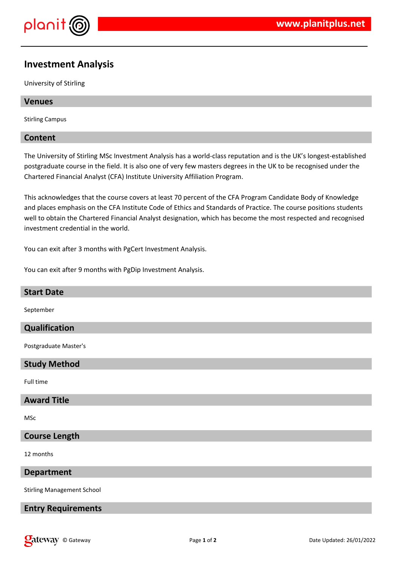

# **Investment Analysis**

University of Stirling

## **Venues**

Stirling Campus

## **Content**

The University of Stirling MSc Investment Analysis has a world-class reputation and is the UK's longest-established postgraduate course in the field. It is also one of very few masters degrees in the UK to be recognised under the Chartered Financial Analyst (CFA) Institute University Affiliation Program.

This acknowledges that the course covers at least 70 percent of the CFA Program Candidate Body of Knowledge and places emphasis on the CFA Institute Code of Ethics and Standards of Practice. The course positions students well to obtain the Chartered Financial Analyst designation, which has become the most respected and recognised investment credential in the world.

You can exit after 3 months with PgCert Investment Analysis.

You can exit after 9 months with PgDip Investment Analysis.

# **Start Date** September **Qualification** Postgraduate Master's **Study Method** Full time **Award Title** MSc **Course Length** 12 months **Department**

Stirling Management School

## **Entry Requirements**